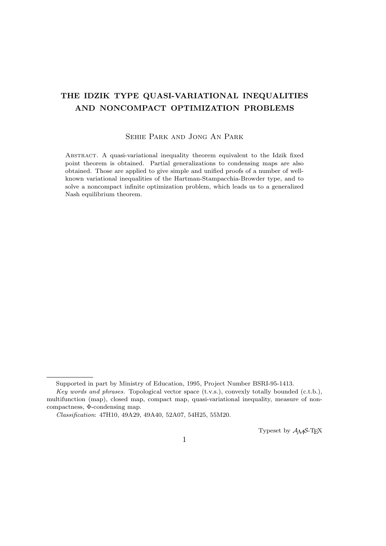# **THE IDZIK TYPE QUASI-VARIATIONAL INEQUALITIES AND NONCOMPACT OPTIMIZATION PROBLEMS**

### Sehie Park and Jong An Park

Abstract. A quasi-variational inequality theorem equivalent to the Idzik fixed point theorem is obtained. Partial generalizations to condensing maps are also obtained. Those are applied to give simple and unified proofs of a number of wellknown variational inequalities of the Hartman-Stampacchia-Browder type, and to solve a noncompact infinite optimization problem, which leads us to a generalized Nash equilibrium theorem.

Typeset by *AMS*-TEX

Supported in part by Ministry of Education, 1995, Project Number BSRI-95-1413.

*Key words and phrases.* Topological vector space (t.v.s.), convexly totally bounded (c.t.b.), multifunction (map), closed map, compact map, quasi-variational inequality, measure of noncompactness, Φ-condensing map.

*Classification*: 47H10, 49A29, 49A40, 52A07, 54H25, 55M20.

<sup>1</sup>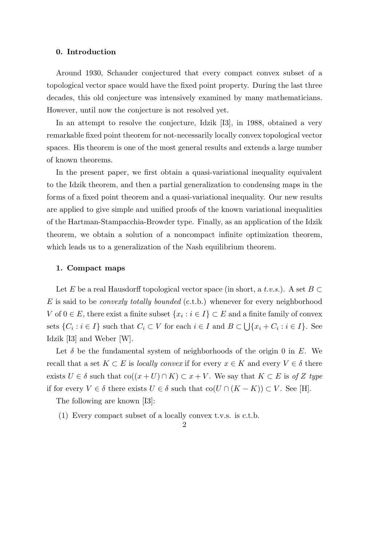### **0. Introduction**

Around 1930, Schauder conjectured that every compact convex subset of a topological vector space would have the fixed point property. During the last three decades, this old conjecture was intensively examined by many mathematicians. However, until now the conjecture is not resolved yet.

In an attempt to resolve the conjecture, Idzik [I3], in 1988, obtained a very remarkable fixed point theorem for not-necessarily locally convex topological vector spaces. His theorem is one of the most general results and extends a large number of known theorems.

In the present paper, we first obtain a quasi-variational inequality equivalent to the Idzik theorem, and then a partial generalization to condensing maps in the forms of a fixed point theorem and a quasi-variational inequality. Our new results are applied to give simple and unified proofs of the known variational inequalities of the Hartman-Stampacchia-Browder type. Finally, as an application of the Idzik theorem, we obtain a solution of a noncompact infinite optimization theorem, which leads us to a generalization of the Nash equilibrium theorem.

### **1. Compact maps**

Let *E* be a real Hausdorff topological vector space (in short, a *t.v.s.*). A set *B ⊂ E* is said to be *convexly totally bounded* (c.t.b.) whenever for every neighborhood *V* of  $0 \in E$ , there exist a finite subset  $\{x_i : i \in I\} \subset E$  and a finite family of convex sets  $\{C_i : i \in I\}$  such that  $C_i \subset V$  for each  $i \in I$  and  $B \subset \bigcup \{x_i + C_i : i \in I\}$ . See Idzik [I3] and Weber [W].

Let  $\delta$  be the fundamental system of neighborhoods of the origin 0 in  $E$ . We recall that a set  $K \subset E$  is *locally convex* if for every  $x \in K$  and every  $V \in \delta$  there exists *U* ∈  $\delta$  such that  $\text{co}((x+U) \cap K) \subset x+V$ . We say that  $K \subset E$  is of *Z* type if for every  $V \in \delta$  there exists  $U \in \delta$  such that  $\text{co}(U \cap (K - K)) \subset V$ . See [H].

The following are known [I3]:

(1) Every compact subset of a locally convex t.v.s. is c.t.b.

## $\mathcal{D}_{\mathcal{L}}$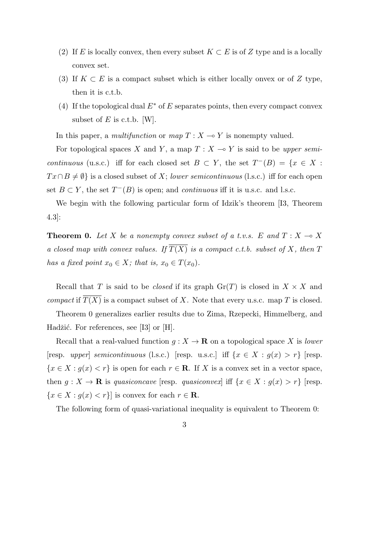- (2) If *E* is locally convex, then every subset  $K \subset E$  is of *Z* type and is a locally convex set.
- (3) If  $K \subset E$  is a compact subset which is either locally onvex or of Z type, then it is c.t.b.
- (4) If the topological dual  $E^*$  of  $E$  separates points, then every compact convex subset of *E* is c.t.b. [W].

In this paper, a *multifunction* or  $map T : X \rightarrow Y$  is nonempty valued.

For topological spaces *X* and *Y*, a map  $T : X \to Y$  is said to be *upper semicontinuous* (u.s.c.) iff for each closed set  $B \subset Y$ , the set  $T^{-}(B) = \{x \in X :$  $Tx \cap B \neq \emptyset$  is a closed subset of *X*; *lower semicontinuous* (l.s.c.) iff for each open set  $B \subset Y$ , the set  $T^{-}(B)$  is open; and *continuous* iff it is u.s.c. and l.s.c.

We begin with the following particular form of Idzik's theorem [I3, Theorem 4.3]:

**Theorem 0.** Let *X* be a nonempty convex subset of a t.v.s. E and  $T: X \rightarrow X$ *a closed map with convex values. If*  $\overline{T(X)}$  *is a compact c.t.b. subset of X, then T has a fixed point*  $x_0 \in X$ *; that is,*  $x_0 \in T(x_0)$ *.* 

Recall that *T* is said to be *closed* if its graph  $Gr(T)$  is closed in  $X \times X$  and *compact* if  $T(X)$  is a compact subset of X. Note that every u.s.c. map T is closed.

Theorem 0 generalizes earlier results due to Zima, Rzepecki, Himmelberg, and Hadžić. For references, see [I3] or  $[H]$ .

Recall that a real-valued function  $g: X \to \mathbf{R}$  on a topological space X is *lower* [resp. *upper*] *semicontinuous* (l.s.c.) [resp. u.s.c.] iff  $\{x \in X : g(x) > r\}$  [resp.  ${x \in X : g(x) < r}$  is open for each  $r \in \mathbb{R}$ . If *X* is a convex set in a vector space, then  $g: X \to \mathbf{R}$  is *quasiconcave* [resp. *quasiconvex*] iff  $\{x \in X : g(x) > r\}$  [resp.  ${x \in X : g(x) < r}$  is convex for each  $r \in \mathbb{R}$ .

The following form of quasi-variational inequality is equivalent to Theorem 0: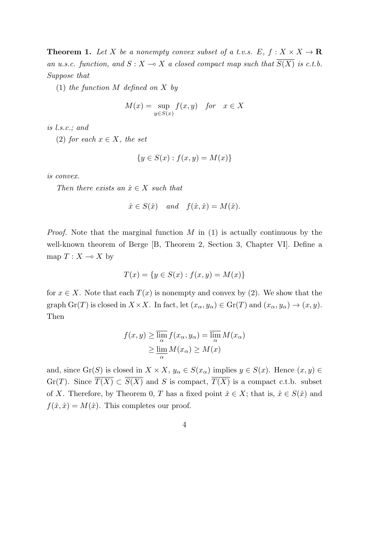**Theorem 1.** Let *X* be a nonempty convex subset of a t.v.s.  $E, f: X \times X \rightarrow \mathbb{R}$ *an u.s.c. function, and*  $S: X \to X$  *a closed compact map such that*  $\overline{S(X)}$  *is c.t.b. Suppose that*

(1) *the function M defined on X by*

$$
M(x) = \sup_{y \in S(x)} f(x, y) \quad \text{for} \quad x \in X
$$

*is l.s.c.; and*

(2) *for each*  $x \in X$ *, the set* 

$$
\{y \in S(x) : f(x, y) = M(x)\}\
$$

*is convex.*

*Then there exists an*  $\hat{x} \in X$  *such that* 

$$
\hat{x} \in S(\hat{x})
$$
 and  $f(\hat{x}, \hat{x}) = M(\hat{x}).$ 

*Proof.* Note that the marginal function *M* in (1) is actually continuous by the well-known theorem of Berge [B, Theorem 2, Section 3, Chapter VI]. Define a map  $T: X \to X$  by

$$
T(x) = \{ y \in S(x) : f(x, y) = M(x) \}
$$

for  $x \in X$ . Note that each  $T(x)$  is nonempty and convex by (2). We show that the graph  $\text{Gr}(T)$  is closed in  $X \times X$ . In fact, let  $(x_{\alpha}, y_{\alpha}) \in \text{Gr}(T)$  and  $(x_{\alpha}, y_{\alpha}) \to (x, y)$ . Then

$$
f(x, y) \ge \overline{\lim_{\alpha}} f(x_{\alpha}, y_{\alpha}) = \overline{\lim_{\alpha}} M(x_{\alpha})
$$
  
 
$$
\ge \underline{\lim_{\alpha}} M(x_{\alpha}) \ge M(x)
$$

and, since  $\text{Gr}(S)$  is closed in  $X \times X$ ,  $y_\alpha \in S(x_\alpha)$  implies  $y \in S(x)$ . Hence  $(x, y) \in$ Gr(*T*). Since  $\overline{T(X)} \subset \overline{S(X)}$  and *S* is compact,  $\overline{T(X)}$  is a compact c.t.b. subset of *X*. Therefore, by Theorem 0, *T* has a fixed point  $\hat{x} \in X$ ; that is,  $\hat{x} \in S(\hat{x})$  and  $f(\hat{x}, \hat{x}) = M(\hat{x})$ . This completes our proof.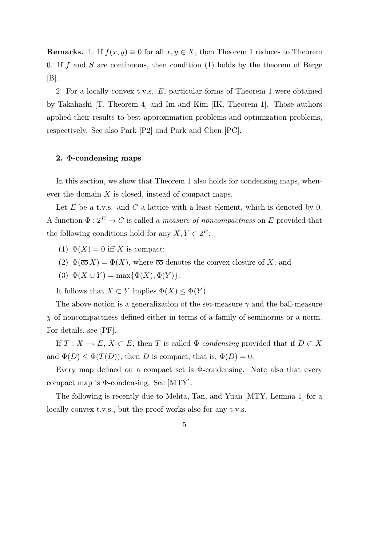**Remarks.** 1. If  $f(x, y) \equiv 0$  for all  $x, y \in X$ , then Theorem 1 reduces to Theorem 0. If *f* and *S* are continuous, then condition (1) holds by the theorem of Berge  $[B]$ .

2. For a locally convex t.v.s. *E*, particular forms of Theorem 1 were obtained by Takahashi [T, Theorem 4] and Im and Kim [IK, Theorem 1]. Those authors applied their results to best approximation problems and optimization problems, respectively. See also Park [P2] and Park and Chen [PC].

### **2.** Φ**-condensing maps**

In this section, we show that Theorem 1 also holds for condensing maps, whenever the domain *X* is closed, instead of compact maps.

Let *E* be a t.v.s. and *C* a lattice with a least element, which is denoted by 0. A function  $\Phi: 2^E \to C$  is called a *measure of noncompactness* on E provided that the following conditions hold for any  $X, Y \in 2^E$ :

- (1)  $\Phi(X) = 0$  iff  $\overline{X}$  is compact;
- (2)  $\Phi(\overline{co} X) = \Phi(X)$ , where  $\overline{co}$  denotes the convex closure of X; and
- (3)  $\Phi(X \cup Y) = \max{\{\Phi(X), \Phi(Y)\}}$ .

It follows that  $X \subset Y$  implies  $\Phi(X) \leq \Phi(Y)$ .

The above notion is a generalization of the set-measure *γ* and the ball-measure *χ* of noncompactness defined either in terms of a family of seminorms or a norm. For details, see [PF].

If  $T: X \to E$ ,  $X \subset E$ , then *T* is called  $\Phi$ -*condensing* provided that if  $D \subset X$ and  $\Phi(D) \leq \Phi(T(D))$ , then  $\overline{D}$  is compact; that is,  $\Phi(D) = 0$ .

Every map defined on a compact set is  $\Phi$ -condensing. Note also that every compact map is Φ-condensing. See [MTY].

The following is recently due to Mehta, Tan, and Yuan [MTY, Lemma 1] for a locally convex t.v.s., but the proof works also for any t.v.s.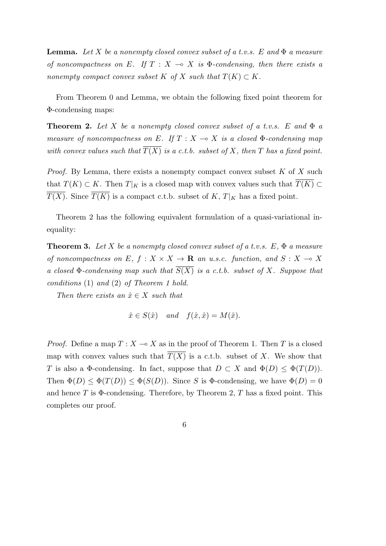**Lemma.** Let X be a nonempty closed convex subset of a t.v.s.  $E$  and  $\Phi$  a measure *of noncompactness on E.* If  $T : X \rightarrow X$  is  $\Phi$ -condensing, then there exists a *nonempty compact convex subset*  $K$  *of*  $X$  *such that*  $T(K) \subset K$ *.* 

From Theorem 0 and Lemma, we obtain the following fixed point theorem for Φ-condensing maps:

**Theorem 2.** Let *X* be a nonempty closed convex subset of a t.v.s.  $E$  and  $\Phi$  a *measure of noncompactness on*  $E$ *. If*  $T : X \rightarrow X$  *is a closed*  $\Phi$ *-condensing map with convex values such that*  $\overline{T(X)}$  *is a c.t.b. subset of X, then T has a fixed point.* 

*Proof.* By Lemma, there exists a nonempty compact convex subset *K* of *X* such that  $T(K) \subset K$ . Then  $T|_K$  is a closed map with convex values such that  $\overline{T(K)} \subset$  $\overline{T(X)}$ . Since  $\overline{T(K)}$  is a compact c.t.b. subset of *K*,  $T|_K$  has a fixed point.

Theorem 2 has the following equivalent formulation of a quasi-variational inequality:

**Theorem 3.** *Let X be a nonempty closed convex subset of a t.v.s. E,* Φ *a measure of noncompactness on*  $E$ ,  $f: X \times X \rightarrow \mathbf{R}$  *an u.s.c. function, and*  $S: X \rightarrow X$ *a closed*  $\Phi$ -condensing map such that  $\overline{S(X)}$  is a c.t.b. subset of X. Suppose that *conditions* (1) *and* (2) *of Theorem 1 hold.*

*Then there exists an*  $\hat{x} \in X$  *such that* 

$$
\hat{x} \in S(\hat{x})
$$
 and  $f(\hat{x}, \hat{x}) = M(\hat{x}).$ 

*Proof.* Define a map  $T: X \to X$  as in the proof of Theorem 1. Then *T* is a closed map with convex values such that  $\overline{T(X)}$  is a c.t.b. subset of *X*. We show that *T* is also a  $\Phi$ -condensing. In fact, suppose that  $D \subset X$  and  $\Phi(D) \leq \Phi(T(D))$ . Then  $\Phi(D) \leq \Phi(T(D)) \leq \Phi(S(D))$ . Since *S* is  $\Phi$ -condensing, we have  $\Phi(D) = 0$ and hence *T* is Φ-condensing. Therefore, by Theorem 2, *T* has a fixed point. This completes our proof.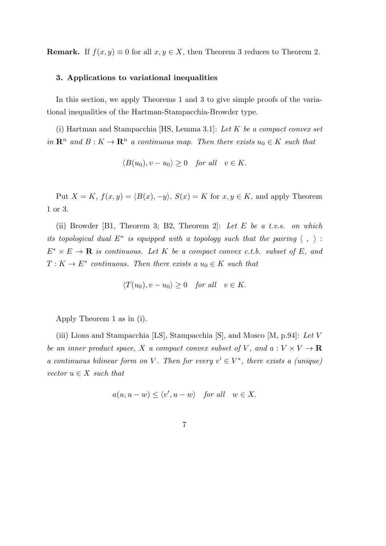**Remark.** If  $f(x, y) \equiv 0$  for all  $x, y \in X$ , then Theorem 3 reduces to Theorem 2.

### **3. Applications to variational inequalities**

In this section, we apply Theorems 1 and 3 to give simple proofs of the variational inequalities of the Hartman-Stampacchia-Browder type.

(i) Hartman and Stampacchia [HS, Lemma 3.1]: *Let K be a compact convex set in*  $\mathbb{R}^n$  and  $B: K \to \mathbb{R}^n$  *a continuous map. Then there exists*  $u_0 \in K$  *such that* 

$$
\langle B(u_0), v - u_0 \rangle \ge 0 \quad for all \quad v \in K.
$$

Put  $X = K$ ,  $f(x, y) = \langle B(x), -y \rangle$ ,  $S(x) = K$  for  $x, y \in K$ , and apply Theorem 1 or 3.

(ii) Browder [B1, Theorem 3; B2, Theorem 2]: *Let E be a t.v.s. on which its topological dual*  $E^*$  *is equipped with a topology such that the pairing*  $\langle , \rangle$ :  $E^* \times E \to \mathbf{R}$  *is continuous. Let K be a compact convex c.t.b. subset of E, and*  $T: K \to E^*$  *continuous. Then there exists a*  $u_0 \in K$  *such that* 

$$
\langle T(u_0), v - u_0 \rangle \ge 0 \quad \text{for all} \quad v \in K.
$$

Apply Theorem 1 as in (i).

(iii) Lions and Stampacchia [LS], Stampacchia [S], and Mosco [M, p.94]: *Let V be an inner product space, X a compact convex subset of V*, and  $a: V \times V \rightarrow \mathbb{R}$ *a continuous bilinear form on V*. Then for every  $v' \in V^*$ , there exists a (unique)  $vector u \in X$  *such that* 

$$
a(u, u - w) \le \langle v', u - w \rangle
$$
 for all  $w \in X$ .

$$
\phantom{0}7
$$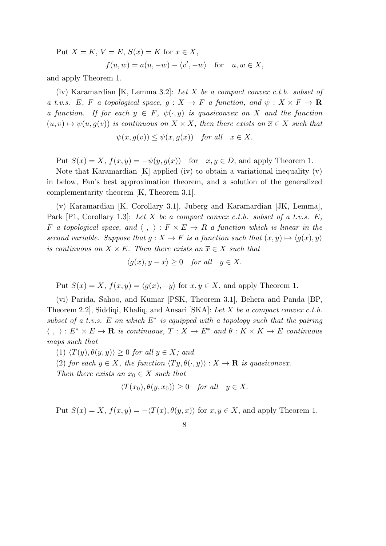Put 
$$
X = K
$$
,  $V = E$ ,  $S(x) = K$  for  $x \in X$ ,  
\n
$$
f(u, w) = a(u, -w) - \langle v', -w \rangle \text{ for } u, w \in X,
$$

and apply Theorem 1.

(iv) Karamardian [K, Lemma 3.2]: *Let X be a compact convex c.t.b. subset of a t.v.s. E*, *F a* topological space,  $g: X \to F$  *a* function, and  $\psi: X \times F \to \mathbf{R}$ *a function.* If for each  $y \in F$ ,  $\psi(\cdot, y)$  *is quasiconvex on X and the function*  $(u, v) \mapsto \psi(u, g(v))$  *is continuous on*  $X \times X$ *, then there exists an*  $\overline{x} \in X$  *such that* 

$$
\psi(\overline{x}, g(\overline{v})) \le \psi(x, g(\overline{x})) \quad \text{for all} \quad x \in X.
$$

Put  $S(x) = X$ ,  $f(x, y) = -\psi(y, g(x))$  for  $x, y \in D$ , and apply Theorem 1.

Note that Karamardian [K] applied (iv) to obtain a variational inequality (v) in below, Fan's best approximation theorem, and a solution of the generalized complementarity theorem [K, Theorem 3.1].

(v) Karamardian [K, Corollary 3.1], Juberg and Karamardian [JK, Lemma], Park [P1, Corollary 1.3]: *Let X be a compact convex c.t.b. subset of a t.v.s. E, F a* topological space, and  $\langle , \rangle : F \times E \rightarrow R$  *a function which is linear in the second variable. Suppose that*  $g: X \to F$  *is a function such that*  $(x, y) \mapsto \langle g(x), y \rangle$ *is continuous on*  $X \times E$ *. Then there exists an*  $\overline{x} \in X$  *such that* 

$$
\langle g(\overline{x}), y - \overline{x} \rangle \ge 0 \quad \text{for all} \quad y \in X.
$$

Put  $S(x) = X$ ,  $f(x, y) = \langle g(x), -y \rangle$  for  $x, y \in X$ , and apply Theorem 1.

(vi) Parida, Sahoo, and Kumar [PSK, Theorem 3.1], Behera and Panda [BP, Theorem 2.2], Siddiqi, Khaliq, and Ansari [SKA]: *Let X be a compact convex c.t.b. subset of a t.v.s. E on which E<sup>∗</sup> is equipped with a topology such that the pairing*  $\langle , \rangle : E^* \times E \to \mathbf{R}$  is continuous,  $T : X \to E^*$  and  $\theta : K \times K \to E$  continuous *maps such that*

 $\langle T(y), \theta(y, y) \rangle \geq 0$  *for all*  $y \in X$ *; and* 

(2) *for each*  $y \in X$ *, the function*  $\langle Ty, \theta(\cdot, y) \rangle : X \to \mathbf{R}$  *is quasiconvex.* 

*Then there exists an*  $x_0 \in X$  *such that* 

$$
\langle T(x_0), \theta(y, x_0) \rangle \ge 0 \quad for all \quad y \in X.
$$

Put  $S(x) = X$ ,  $f(x, y) = -\langle T(x), \theta(y, x) \rangle$  for  $x, y \in X$ , and apply Theorem 1.

$$
8 \\
$$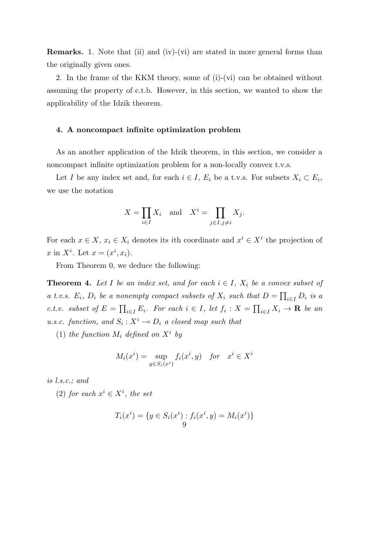**Remarks.** 1. Note that (ii) and (iv)-(vi) are stated in more general forms than the originally given ones.

2. In the frame of the KKM theory, some of (i)-(vi) can be obtained without assuming the property of c.t.b. However, in this section, we wanted to show the applicability of the Idzik theorem.

### **4. A noncompact infinite optimization problem**

As an another application of the Idzik theorem, in this section, we consider a noncompact infinite optimization problem for a non-locally convex t.v.s.

Let *I* be any index set and, for each  $i \in I$ ,  $E_i$  be a t.v.s. For subsets  $X_i \subset E_i$ , we use the notation

$$
X = \prod_{i \in I} X_i \quad \text{and} \quad X^i = \prod_{j \in I, j \neq i} X_j.
$$

For each  $x \in X$ ,  $x_i \in X_i$  denotes its *i*th coordinate and  $x^i \in X^i$  the projection of *x* in  $X^i$ . Let  $x = (x^i, x_i)$ .

From Theorem 0, we deduce the following:

**Theorem 4.** Let I be an index set, and for each  $i \in I$ ,  $X_i$  be a convex subset of *a t.v.s.*  $E_i$ ,  $D_i$  *be a nonempty compact subsets of*  $X_i$  *such that*  $D = \prod_{i \in I} D_i$  *is a* c.t.v. subset of  $E = \prod_{i \in I} E_i$ . For each  $i \in I$ , let  $f_i : X = \prod_{i \in I} X_i \to \mathbf{R}$  be an *u.s.c. function, and*  $S_i: X^i \to D_i$  *a closed map such that* 

(1) *the function*  $M_i$  *defined on*  $X^i$  *by* 

$$
M_i(x^i) = \sup_{y \in S_i(x^i)} f_i(x^i, y) \quad \text{for} \quad x^i \in X^i
$$

*is l.s.c.; and*

(2) *for each*  $x^i$  ∈  $X^i$ *, the set* 

$$
T_i(x^i) = \{ y \in S_i(x^i) : f_i(x^i, y) = M_i(x^i) \}
$$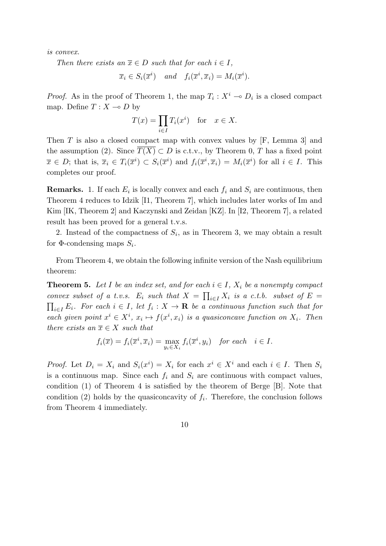*is convex.*

*Then there exists an*  $\overline{x} \in D$  *such that for each*  $i \in I$ *,* 

$$
\overline{x}_i \in S_i(\overline{x}^i)
$$
 and  $f_i(\overline{x}^i, \overline{x}_i) = M_i(\overline{x}^i)$ .

*Proof.* As in the proof of Theorem 1, the map  $T_i: X^i \to D_i$  is a closed compact map. Define  $T: X \rightarrow D$  by

$$
T(x) = \prod_{i \in I} T_i(x^i) \quad \text{for} \quad x \in X.
$$

Then *T* is also a closed compact map with convex values by [F, Lemma 3] and the assumption (2). Since  $T(X) \subset D$  is c.t.v., by Theorem 0, *T* has a fixed point  $\overline{x} \in D$ ; that is,  $\overline{x}_i \in T_i(\overline{x}^i) \subset S_i(\overline{x}^i)$  and  $f_i(\overline{x}^i, \overline{x}_i) = M_i(\overline{x}^i)$  for all  $i \in I$ . This completes our proof.

**Remarks.** 1. If each  $E_i$  is locally convex and each  $f_i$  and  $S_i$  are continuous, then Theorem 4 reduces to Idzik [I1, Theorem 7], which includes later works of Im and Kim [IK, Theorem 2] and Kaczynski and Zeidan [KZ]. In [I2, Theorem 7], a related result has been proved for a general t.v.s.

2. Instead of the compactness of  $S_i$ , as in Theorem 3, we may obtain a result for  $\Phi$ -condensing maps  $S_i$ .

From Theorem 4, we obtain the following infinite version of the Nash equilibrium theorem:

**Theorem 5.** Let  $I$  be an index set, and for each  $i \in I$ ,  $X_i$  be a nonempty compact *convex subset of a t.v.s.*  $E_i$  *such that*  $X = \prod_{i \in I} X_i$  *is a c.t.b. subset of*  $E =$  $\prod_{i \in I} E_i$ *. For each*  $i \in I$ *, let*  $f_i : X \to \mathbf{R}$  *be a continuous function such that for each given point*  $x^i \in X^i$ ,  $x_i \mapsto f(x^i, x_i)$  *is a quasiconcave function on*  $X_i$ . Then *there exists an*  $\overline{x} \in X$  *such that* 

$$
f_i(\overline{x}) = f_i(\overline{x}^i, \overline{x}_i) = \max_{y_i \in X_i} f_i(\overline{x}^i, y_i) \text{ for each } i \in I.
$$

*Proof.* Let  $D_i = X_i$  and  $S_i(x^i) = X_i$  for each  $x^i \in X^i$  and each  $i \in I$ . Then  $S_i$ is a continuous map. Since each  $f_i$  and  $S_i$  are continuous with compact values, condition (1) of Theorem 4 is satisfied by the theorem of Berge [B]. Note that condition  $(2)$  holds by the quasiconcavity of  $f_i$ . Therefore, the conclusion follows from Theorem 4 immediately.

$$
10\quad
$$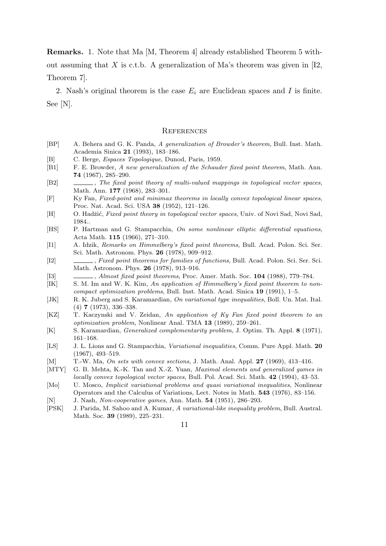**Remarks.** 1. Note that Ma [M, Theorem 4] already established Theorem 5 without assuming that  $X$  is c.t.b. A generalization of Ma's theorem was given in [12, Theorem 7].

2. Nash's original theorem is the case  $E_i$  are Euclidean spaces and *I* is finite. See [N].

#### **REFERENCES**

- [BP] A. Behera and G. K. Panda, *A generalization of Browder's theorem*, Bull. Inst. Math. Academia Sinica **21** (1993), 183–186.
- [B] C. Berge, *Espaces Topologique*, Dunod, Paris, 1959.
- [B1] F. E. Browder, *A new generalization of the Schauder fixed point theorem*, Math. Ann. **74** (1967), 285–290.
- [B2] , *The fixed point theory of multi-valued mappings in topological vector spaces*, Math. Ann. **177** (1968), 283–301.
- [F] Ky Fan, *Fixed-point and minimax theorems in locally convex topological linear spaces*, Proc. Nat. Acad. Sci. USA **38** (1952), 121–126.
- [H] O. Hadžić, *Fixed point theory in topological vector spaces*, Univ. of Novi Sad, Novi Sad, 1984..
- [HS] P. Hartman and G. Stampacchia, *On some nonlinear elliptic differential equations*, Acta Math. **115** (1966), 271–310.
- [I1] A. Idzik, *Remarks on Himmelberg's fixed point theorems*, Bull. Acad. Polon. Sci. Ser. Sci. Math. Astronom. Phys. **26** (1978), 909–912.
- [I2] , *Fixed point theorems for families of functions*, Bull. Acad. Polon. Sci. Ser. Sci. Math. Astronom. Phys. **26** (1978), 913–916.
- [I3] , *Almost fixed point theorems*, Proc. Amer. Math. Soc. **104** (1988), 779–784.
- [IK] S. M. Im and W. K. Kim, *An application of Himmelberg's fixed point theorem to noncompact optimization problems*, Bull. Inst. Math. Acad. Sinica **19** (1991), 1–5.
- [JK] R. K. Juberg and S. Karamardian, *On variational type inequalities*, Boll. Un. Mat. Ital. (4) **7** (1973), 336–338.
- [KZ] T. Kaczynski and V. Zeidan, *An application of Ky Fan fixed point theorem to an optimization problem*, Nonlinear Anal. TMA **13** (1989), 259–261.
- [K] S. Karamardian, *Generalized complementarity problem*, J. Optim. Th. Appl. **8** (1971), 161–168.
- [LS] J. L. Lions and G. Stampacchia, *Variational inequalities*, Comm. Pure Appl. Math. **20** (1967), 493–519.
- [M] T.-W. Ma, *On sets with convex sections*, J. Math. Anal. Appl. **27** (1969), 413–416.
- [MTY] G. B. Mehta, K.-K. Tan and X.-Z. Yuan, *Maximal elements and generalized games in locally convex topological vector spaces*, Bull. Pol. Acad. Sci. Math. **42** (1994), 43–53.
- [Mo] U. Mosco, *Implicit variational problems and quasi variational inequalities*, Nonlinear Operators and the Calculus of Variations, Lect. Notes in Math. **543** (1976), 83–156.
- [N] J. Nash, *Non-cooperative games*, Ann. Math. **54** (1951), 286–293.
- [PSK] J. Parida, M. Sahoo and A. Kumar, *A variational-like inequality problem*, Bull. Austral. Math. Soc. **39** (1989), 225–231.